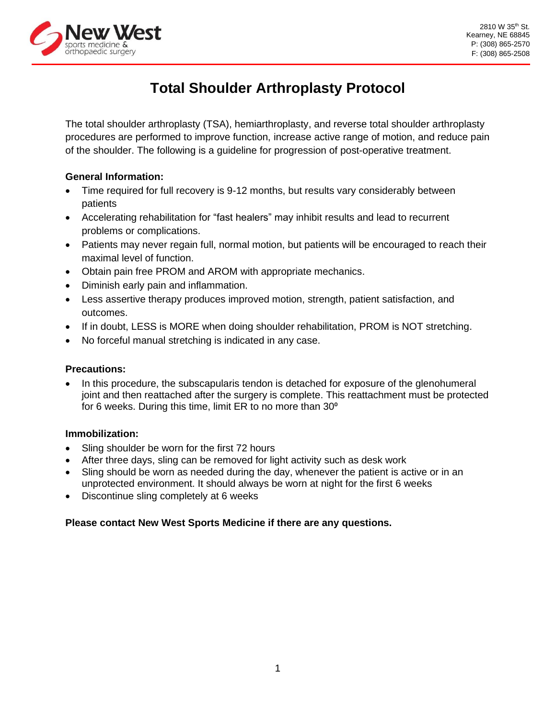

# **Total Shoulder Arthroplasty Protocol**

The total shoulder arthroplasty (TSA), hemiarthroplasty, and reverse total shoulder arthroplasty procedures are performed to improve function, increase active range of motion, and reduce pain of the shoulder. The following is a guideline for progression of post-operative treatment.

#### **General Information:**

- Time required for full recovery is 9-12 months, but results vary considerably between patients
- Accelerating rehabilitation for "fast healers" may inhibit results and lead to recurrent problems or complications.
- Patients may never regain full, normal motion, but patients will be encouraged to reach their maximal level of function.
- Obtain pain free PROM and AROM with appropriate mechanics.
- Diminish early pain and inflammation.
- Less assertive therapy produces improved motion, strength, patient satisfaction, and outcomes.
- If in doubt, LESS is MORE when doing shoulder rehabilitation, PROM is NOT stretching.
- No forceful manual stretching is indicated in any case.

#### **Precautions:**

In this procedure, the subscapularis tendon is detached for exposure of the glenohumeral joint and then reattached after the surgery is complete. This reattachment must be protected for 6 weeks. During this time, limit ER to no more than  $30^{\circ}$ 

#### **Immobilization:**

- Sling shoulder be worn for the first 72 hours
- After three days, sling can be removed for light activity such as desk work
- Sling should be worn as needed during the day, whenever the patient is active or in an unprotected environment. It should always be worn at night for the first 6 weeks
- Discontinue sling completely at 6 weeks

# **Please contact New West Sports Medicine if there are any questions.**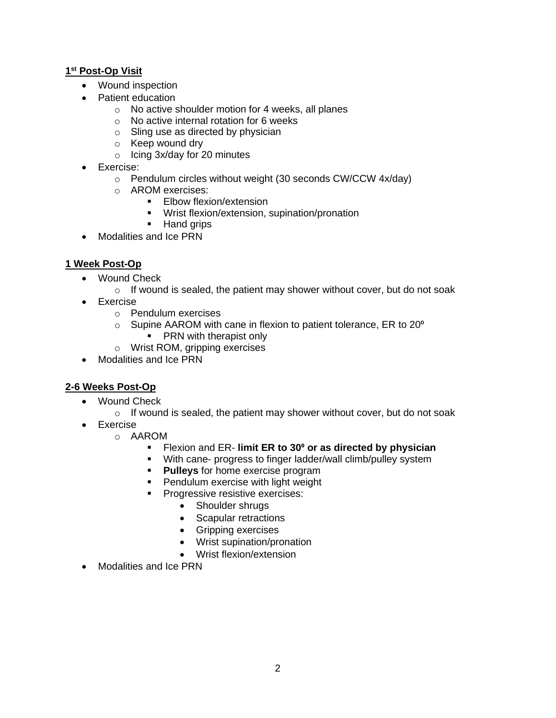## **1 st Post-Op Visit**

- Wound inspection
- Patient education
	- o No active shoulder motion for 4 weeks, all planes
	- o No active internal rotation for 6 weeks
	- o Sling use as directed by physician
	- o Keep wound dry
	- o Icing 3x/day for 20 minutes
- Exercise:
	- o Pendulum circles without weight (30 seconds CW/CCW 4x/day)
	- o AROM exercises:
		- **Elbow flexion/extension**
		- Wrist flexion/extension, supination/pronation
		- Hand grips
- Modalities and Ice PRN

#### **1 Week Post-Op**

- Wound Check
	- $\circ$  If wound is sealed, the patient may shower without cover, but do not soak
- Exercise
	- o Pendulum exercises
	- $\circ$  Supine AAROM with cane in flexion to patient tolerance, ER to 20 $^{\circ}$ 
		- PRN with therapist only
	- o Wrist ROM, gripping exercises
- Modalities and Ice PRN

#### **2-6 Weeks Post-Op**

- Wound Check
	- $\circ$  If wound is sealed, the patient may shower without cover, but do not soak
- Exercise
	- o AAROM
		- Flexion and ER- **limit ER to 30<sup>°</sup> or as directed by physician**
		- With cane- progress to finger ladder/wall climb/pulley system
		- **Pulleys** for home exercise program
		- Pendulum exercise with light weight
		- Progressive resistive exercises:
			- Shoulder shrugs
			- Scapular retractions
			- Gripping exercises
			- Wrist supination/pronation
			- Wrist flexion/extension
- Modalities and Ice PRN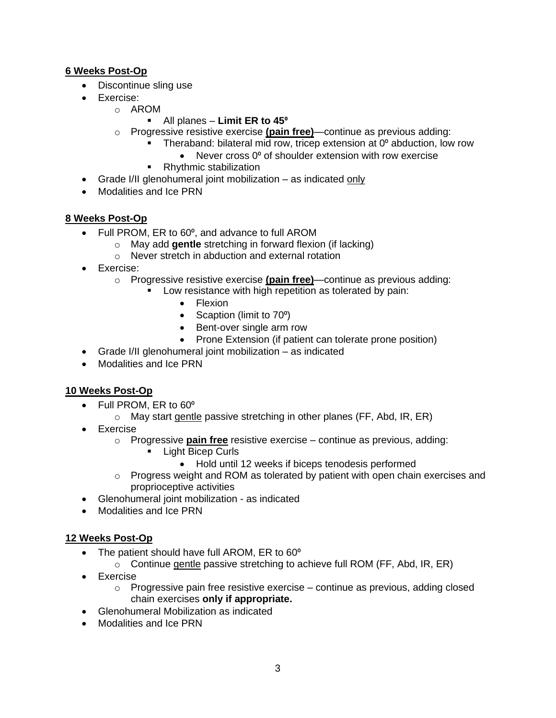# **6 Weeks Post-Op**

- Discontinue sling use
- Exercise:
	- o AROM
		- **EXECUTE:** All planes **Limit ER to 45<sup>°</sup>**
	- o Progressive resistive exercise **(pain free)**—continue as previous adding:
		- Theraband: bilateral mid row, tricep extension at 0<sup>°</sup> abduction, low row
			- Never cross 0° of shoulder extension with row exercise
		- **Rhythmic stabilization**
- Grade I/II glenohumeral joint mobilization as indicated only
- Modalities and Ice PRN

## **8 Weeks Post-Op**

- Full PROM, ER to 60°, and advance to full AROM
	- o May add **gentle** stretching in forward flexion (if lacking)
	- o Never stretch in abduction and external rotation
- Exercise:
	- o Progressive resistive exercise **(pain free)**—continue as previous adding:
		- Low resistance with high repetition as tolerated by pain:
			- Flexion
			- Scaption (limit to 70<sup>o</sup>)
			- Bent-over single arm row
			- Prone Extension (if patient can tolerate prone position)
- Grade I/II glenohumeral joint mobilization as indicated
- Modalities and Ice PRN

#### **10 Weeks Post-Op**

- Full PROM, ER to 60°
	- $\circ$  May start gentle passive stretching in other planes (FF, Abd, IR, ER)
- **Exercise** 
	- o Progressive **pain free** resistive exercise continue as previous, adding:
		- Light Bicep Curls
			- Hold until 12 weeks if biceps tenodesis performed
	- $\circ$  Progress weight and ROM as tolerated by patient with open chain exercises and proprioceptive activities
- Glenohumeral joint mobilization as indicated
- Modalities and Ice PRN

# **12 Weeks Post-Op**

- The patient should have full AROM, ER to 60<sup>°</sup>
	- $\circ$  Continue gentle passive stretching to achieve full ROM (FF, Abd, IR, ER)
- Exercise
	- $\circ$  Progressive pain free resistive exercise continue as previous, adding closed chain exercises **only if appropriate.**
- Glenohumeral Mobilization as indicated
- Modalities and Ice PRN